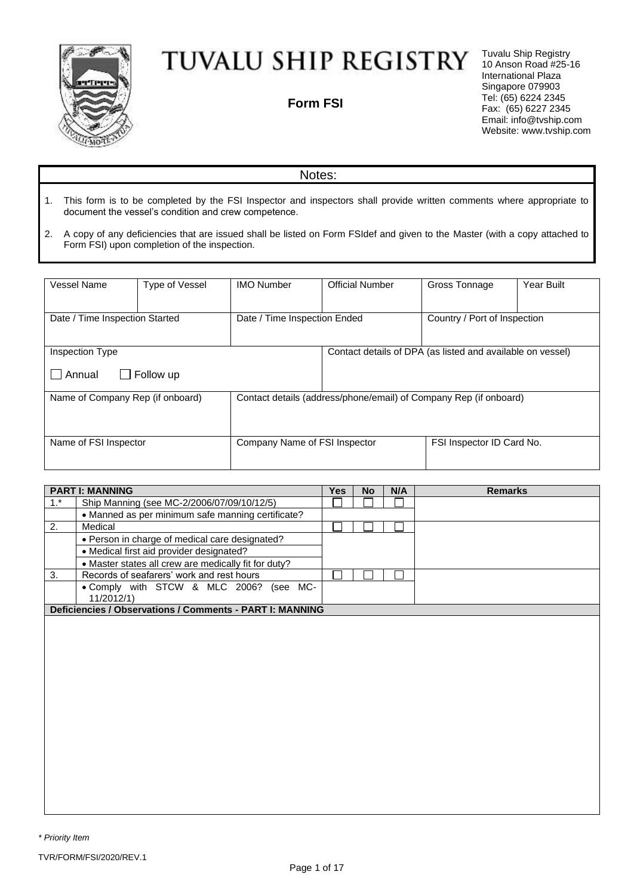

## TUVALU SHIP REGISTRY

**Form FSI**

Tuvalu Ship Registry 10 Anson Road #25-16 International Plaza Singapore 079903 Tel: (65) 6224 2345 Fax: (65) 6227 2345 Email: info@tvship.com Website: [www.t](http://www.mgnship.mn/)vship.com

## Notes:

- 1. This form is to be completed by the FSI Inspector and inspectors shall provide written comments where appropriate to document the vessel's condition and crew competence.
- 2. A copy of any deficiencies that are issued shall be listed on Form FSIdef and given to the Master (with a copy attached to Form FSI) upon completion of the inspection.

| Vessel Name                                                    | <b>Type of Vessel</b>         | <b>IMO Number</b> | <b>Official Number</b>                                            | Gross Tonnage                                              | Year Built |  |
|----------------------------------------------------------------|-------------------------------|-------------------|-------------------------------------------------------------------|------------------------------------------------------------|------------|--|
| Date / Time Inspection Started<br>Date / Time Inspection Ended |                               |                   | Country / Port of Inspection                                      |                                                            |            |  |
| Inspection Type<br>Annual                                      | Follow up                     |                   |                                                                   | Contact details of DPA (as listed and available on vessel) |            |  |
| Name of Company Rep (if onboard)                               |                               |                   | Contact details (address/phone/email) of Company Rep (if onboard) |                                                            |            |  |
| Name of FSI Inspector                                          | Company Name of FSI Inspector |                   |                                                                   | FSI Inspector ID Card No.                                  |            |  |

|       | <b>PART I: MANNING</b>                                   | Yes | <b>No</b> | N/A | <b>Remarks</b> |
|-------|----------------------------------------------------------|-----|-----------|-----|----------------|
| $1.*$ | Ship Manning (see MC-2/2006/07/09/10/12/5)               |     |           |     |                |
|       | • Manned as per minimum safe manning certificate?        |     |           |     |                |
| 2.    | Medical                                                  |     |           |     |                |
|       | • Person in charge of medical care designated?           |     |           |     |                |
|       | • Medical first aid provider designated?                 |     |           |     |                |
|       | . Master states all crew are medically fit for duty?     |     |           |     |                |
| 3.    | Records of seafarers' work and rest hours                |     |           |     |                |
|       | . Comply with STCW & MLC 2006? (see MC-                  |     |           |     |                |
|       | 11/2012/1)                                               |     |           |     |                |
|       | Deficiencies / Observations / Comments - PART I: MANNING |     |           |     |                |
|       |                                                          |     |           |     |                |
|       |                                                          |     |           |     |                |
|       |                                                          |     |           |     |                |
|       |                                                          |     |           |     |                |
|       |                                                          |     |           |     |                |
|       |                                                          |     |           |     |                |
|       |                                                          |     |           |     |                |
|       |                                                          |     |           |     |                |
|       |                                                          |     |           |     |                |
|       |                                                          |     |           |     |                |
|       |                                                          |     |           |     |                |
|       |                                                          |     |           |     |                |
|       |                                                          |     |           |     |                |
|       |                                                          |     |           |     |                |
|       |                                                          |     |           |     |                |
|       |                                                          |     |           |     |                |
|       |                                                          |     |           |     |                |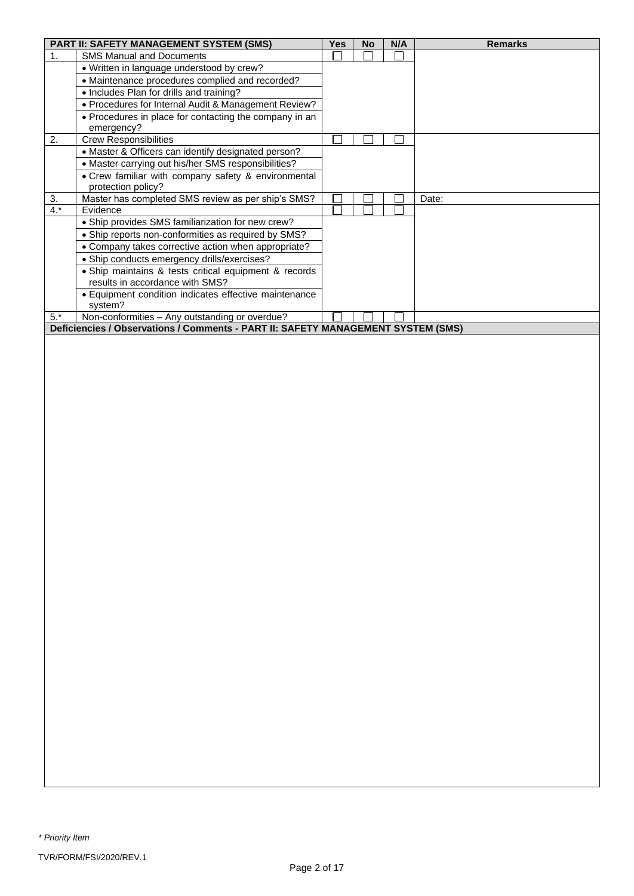|       | PART II: SAFETY MANAGEMENT SYSTEM (SMS)                                          | <b>Yes</b>    | <b>No</b> | N/A | <b>Remarks</b> |
|-------|----------------------------------------------------------------------------------|---------------|-----------|-----|----------------|
| 1.    | <b>SMS Manual and Documents</b>                                                  |               |           |     |                |
|       | • Written in language understood by crew?                                        |               |           |     |                |
|       | • Maintenance procedures complied and recorded?                                  |               |           |     |                |
|       | • Includes Plan for drills and training?                                         |               |           |     |                |
|       |                                                                                  |               |           |     |                |
|       | • Procedures for Internal Audit & Management Review?                             |               |           |     |                |
|       | • Procedures in place for contacting the company in an                           |               |           |     |                |
|       | emergency?                                                                       |               |           |     |                |
| 2.    | <b>Crew Responsibilities</b>                                                     |               |           |     |                |
|       | • Master & Officers can identify designated person?                              |               |           |     |                |
|       | • Master carrying out his/her SMS responsibilities?                              |               |           |     |                |
|       | • Crew familiar with company safety & environmental                              |               |           |     |                |
|       | protection policy?                                                               |               |           |     |                |
| 3.    | Master has completed SMS review as per ship's SMS?                               |               |           |     | Date:          |
| $4.*$ | Evidence                                                                         | $\mathcal{L}$ |           |     |                |
|       | • Ship provides SMS familiarization for new crew?                                |               |           |     |                |
|       | • Ship reports non-conformities as required by SMS?                              |               |           |     |                |
|       | • Company takes corrective action when appropriate?                              |               |           |     |                |
|       | • Ship conducts emergency drills/exercises?                                      |               |           |     |                |
|       | • Ship maintains & tests critical equipment & records                            |               |           |     |                |
|       | results in accordance with SMS?                                                  |               |           |     |                |
|       | • Equipment condition indicates effective maintenance                            |               |           |     |                |
|       | system?                                                                          |               |           |     |                |
| $5.*$ | Non-conformities - Any outstanding or overdue?                                   |               |           |     |                |
|       | Deficiencies / Observations / Comments - PART II: SAFETY MANAGEMENT SYSTEM (SMS) |               |           |     |                |
|       |                                                                                  |               |           |     |                |
|       |                                                                                  |               |           |     |                |
|       |                                                                                  |               |           |     |                |
|       |                                                                                  |               |           |     |                |
|       |                                                                                  |               |           |     |                |
|       |                                                                                  |               |           |     |                |
|       |                                                                                  |               |           |     |                |
|       |                                                                                  |               |           |     |                |
|       |                                                                                  |               |           |     |                |
|       |                                                                                  |               |           |     |                |
|       |                                                                                  |               |           |     |                |
|       |                                                                                  |               |           |     |                |
|       |                                                                                  |               |           |     |                |
|       |                                                                                  |               |           |     |                |
|       |                                                                                  |               |           |     |                |
|       |                                                                                  |               |           |     |                |
|       |                                                                                  |               |           |     |                |
|       |                                                                                  |               |           |     |                |
|       |                                                                                  |               |           |     |                |
|       |                                                                                  |               |           |     |                |
|       |                                                                                  |               |           |     |                |
|       |                                                                                  |               |           |     |                |
|       |                                                                                  |               |           |     |                |
|       |                                                                                  |               |           |     |                |
|       |                                                                                  |               |           |     |                |
|       |                                                                                  |               |           |     |                |
|       |                                                                                  |               |           |     |                |
|       |                                                                                  |               |           |     |                |
|       |                                                                                  |               |           |     |                |
|       |                                                                                  |               |           |     |                |
|       |                                                                                  |               |           |     |                |
|       |                                                                                  |               |           |     |                |
|       |                                                                                  |               |           |     |                |
|       |                                                                                  |               |           |     |                |
|       |                                                                                  |               |           |     |                |
|       |                                                                                  |               |           |     |                |
|       |                                                                                  |               |           |     |                |
|       |                                                                                  |               |           |     |                |
|       |                                                                                  |               |           |     |                |
|       |                                                                                  |               |           |     |                |
|       |                                                                                  |               |           |     |                |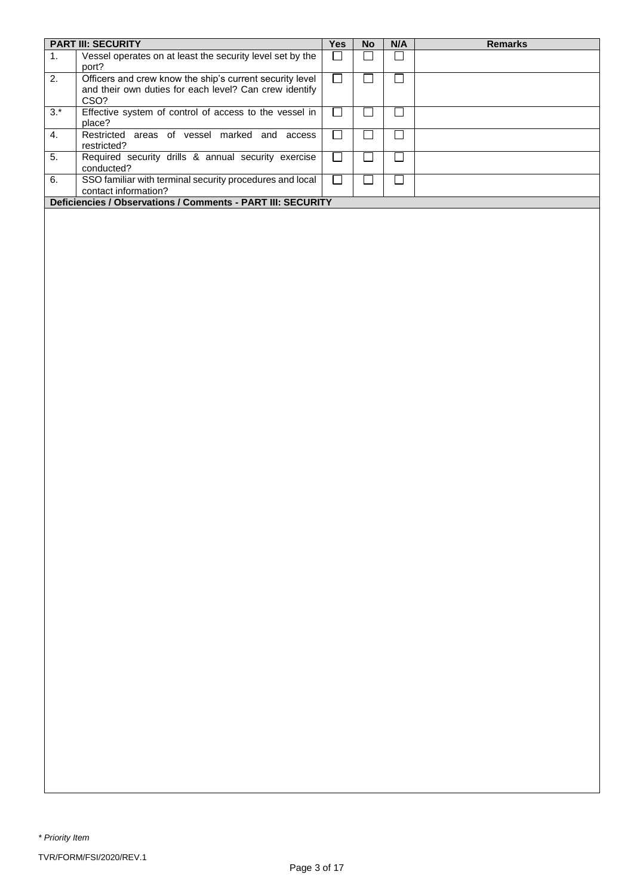|                  | <b>PART III: SECURITY</b>                                                                                                  | Yes    | No     | N/A    | <b>Remarks</b> |
|------------------|----------------------------------------------------------------------------------------------------------------------------|--------|--------|--------|----------------|
| 1.               | Vessel operates on at least the security level set by the<br>port?                                                         | $\Box$ | $\Box$ | $\Box$ |                |
| $\overline{2}$ . | Officers and crew know the ship's current security level<br>and their own duties for each level? Can crew identify<br>CSO? | $\Box$ | $\Box$ | $\Box$ |                |
| $3.*$            | Effective system of control of access to the vessel in<br>place?                                                           | $\Box$ | $\Box$ | $\Box$ |                |
| 4.               | Restricted areas of vessel marked and access<br>restricted?                                                                | $\Box$ | $\Box$ | $\Box$ |                |
| 5.               | Required security drills & annual security exercise<br>conducted?                                                          | $\Box$ | $\Box$ | $\Box$ |                |
| 6.               | SSO familiar with terminal security procedures and local<br>contact information?                                           | $\Box$ | $\Box$ | $\Box$ |                |
|                  | Deficiencies / Observations / Comments - PART III: SECURITY                                                                |        |        |        |                |
|                  |                                                                                                                            |        |        |        |                |
|                  |                                                                                                                            |        |        |        |                |
|                  |                                                                                                                            |        |        |        |                |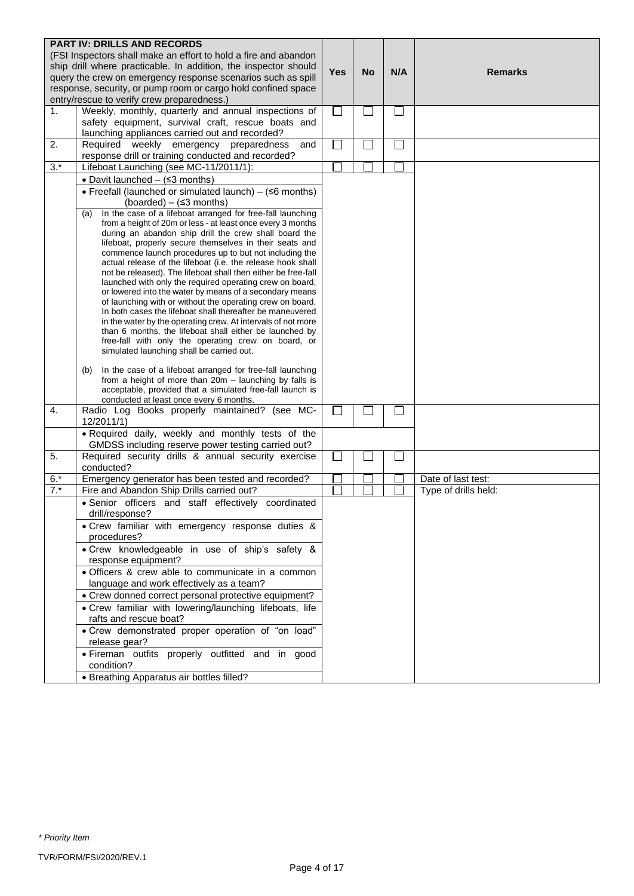|       | <b>PART IV: DRILLS AND RECORDS</b><br>(FSI Inspectors shall make an effort to hold a fire and abandon                     |            |           |        |                      |
|-------|---------------------------------------------------------------------------------------------------------------------------|------------|-----------|--------|----------------------|
|       | ship drill where practicable. In addition, the inspector should                                                           |            |           |        |                      |
|       | query the crew on emergency response scenarios such as spill                                                              | <b>Yes</b> | <b>No</b> | N/A    | <b>Remarks</b>       |
|       | response, security, or pump room or cargo hold confined space                                                             |            |           |        |                      |
|       | entry/rescue to verify crew preparedness.)                                                                                |            |           |        |                      |
| 1.    | Weekly, monthly, quarterly and annual inspections of                                                                      | $\Box$     | $\Box$    | $\Box$ |                      |
|       | safety equipment, survival craft, rescue boats and                                                                        |            |           |        |                      |
|       | launching appliances carried out and recorded?                                                                            |            |           |        |                      |
| 2.    | Required weekly emergency preparedness<br>and                                                                             | $\Box$     | $\Box$    | $\Box$ |                      |
|       | response drill or training conducted and recorded?                                                                        |            |           |        |                      |
| $3.*$ | Lifeboat Launching (see MC-11/2011/1):                                                                                    |            |           |        |                      |
|       | • Davit launched $-$ ( $\leq$ 3 months)                                                                                   |            |           |        |                      |
|       | • Freefall (launched or simulated launch) - (≤6 months)                                                                   |            |           |        |                      |
|       | (boarded) $-$ ( $\leq$ 3 months)                                                                                          |            |           |        |                      |
|       | In the case of a lifeboat arranged for free-fall launching<br>(a)                                                         |            |           |        |                      |
|       | from a height of 20m or less - at least once every 3 months<br>during an abandon ship drill the crew shall board the      |            |           |        |                      |
|       | lifeboat, properly secure themselves in their seats and                                                                   |            |           |        |                      |
|       | commence launch procedures up to but not including the                                                                    |            |           |        |                      |
|       | actual release of the lifeboat (i.e. the release hook shall                                                               |            |           |        |                      |
|       | not be released). The lifeboat shall then either be free-fall<br>launched with only the required operating crew on board, |            |           |        |                      |
|       | or lowered into the water by means of a secondary means                                                                   |            |           |        |                      |
|       | of launching with or without the operating crew on board.                                                                 |            |           |        |                      |
|       | In both cases the lifeboat shall thereafter be maneuvered                                                                 |            |           |        |                      |
|       | in the water by the operating crew. At intervals of not more                                                              |            |           |        |                      |
|       | than 6 months, the lifeboat shall either be launched by<br>free-fall with only the operating crew on board, or            |            |           |        |                      |
|       | simulated launching shall be carried out.                                                                                 |            |           |        |                      |
|       |                                                                                                                           |            |           |        |                      |
|       | In the case of a lifeboat arranged for free-fall launching<br>(b)                                                         |            |           |        |                      |
|       | from a height of more than 20m - launching by falls is<br>acceptable, provided that a simulated free-fall launch is       |            |           |        |                      |
|       | conducted at least once every 6 months.                                                                                   |            |           |        |                      |
| 4.    | Radio Log Books properly maintained? (see MC-                                                                             | ×.         |           | ΙI     |                      |
|       | 12/2011/1)                                                                                                                |            |           |        |                      |
|       | . Required daily, weekly and monthly tests of the<br>GMDSS including reserve power testing carried out?                   |            |           |        |                      |
| 5.    | Required security drills & annual security exercise                                                                       | ×          |           | ⊔      |                      |
|       | conducted?                                                                                                                |            |           |        |                      |
| $6.*$ | Emergency generator has been tested and recorded?                                                                         |            |           |        | Date of last test:   |
| $7.*$ | Fire and Abandon Ship Drills carried out?                                                                                 |            |           |        | Type of drills held: |
|       | · Senior officers and staff effectively coordinated<br>drill/response?                                                    |            |           |        |                      |
|       | . Crew familiar with emergency response duties &                                                                          |            |           |        |                      |
|       | procedures?                                                                                                               |            |           |        |                      |
|       | . Crew knowledgeable in use of ship's safety &<br>response equipment?                                                     |            |           |        |                      |
|       | · Officers & crew able to communicate in a common                                                                         |            |           |        |                      |
|       | language and work effectively as a team?                                                                                  |            |           |        |                      |
|       | • Crew donned correct personal protective equipment?                                                                      |            |           |        |                      |
|       | . Crew familiar with lowering/launching lifeboats, life                                                                   |            |           |        |                      |
|       | rafts and rescue boat?                                                                                                    |            |           |        |                      |
|       | • Crew demonstrated proper operation of "on load"                                                                         |            |           |        |                      |
|       | release gear?                                                                                                             |            |           |        |                      |
|       | · Fireman outfits properly outfitted and in good<br>condition?                                                            |            |           |        |                      |
|       | • Breathing Apparatus air bottles filled?                                                                                 |            |           |        |                      |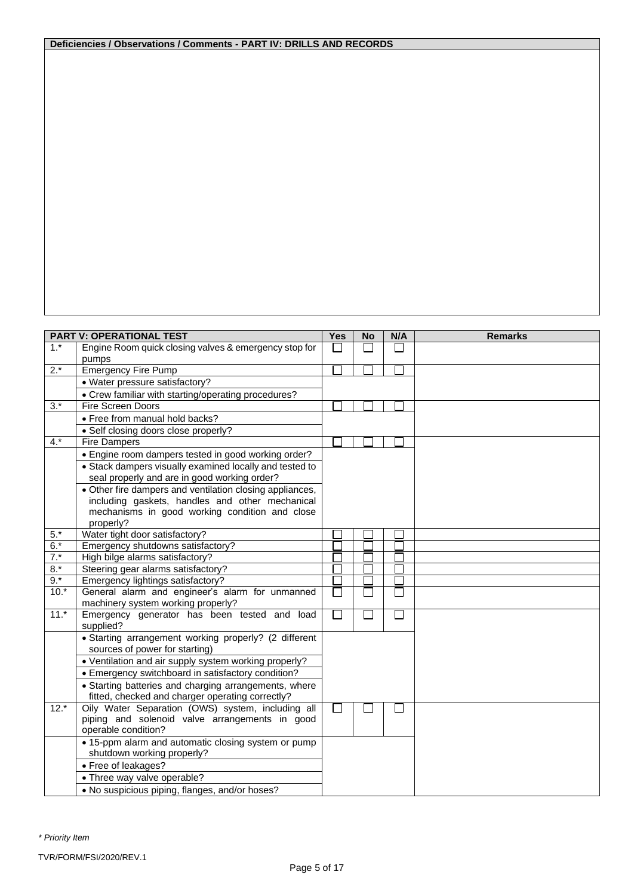## **Deficiencies / Observations / Comments - PART IV: DRILLS AND RECORDS**

|        | <b>PART V: OPERATIONAL TEST</b>                                | <b>Yes</b>                  | <b>No</b> | N/A                         | <b>Remarks</b> |
|--------|----------------------------------------------------------------|-----------------------------|-----------|-----------------------------|----------------|
| $1.*$  | Engine Room quick closing valves & emergency stop for<br>pumps |                             |           |                             |                |
| $2.*$  | <b>Emergency Fire Pump</b>                                     |                             |           |                             |                |
|        |                                                                |                             |           |                             |                |
|        | • Water pressure satisfactory?                                 |                             |           |                             |                |
|        | • Crew familiar with starting/operating procedures?            |                             |           |                             |                |
| $3.*$  | <b>Fire Screen Doors</b>                                       |                             |           |                             |                |
|        | • Free from manual hold backs?                                 |                             |           |                             |                |
|        | • Self closing doors close properly?                           |                             |           |                             |                |
| $4.*$  | <b>Fire Dampers</b>                                            |                             |           |                             |                |
|        | • Engine room dampers tested in good working order?            |                             |           |                             |                |
|        | • Stack dampers visually examined locally and tested to        |                             |           |                             |                |
|        | seal properly and are in good working order?                   |                             |           |                             |                |
|        | • Other fire dampers and ventilation closing appliances,       |                             |           |                             |                |
|        | including gaskets, handles and other mechanical                |                             |           |                             |                |
|        | mechanisms in good working condition and close                 |                             |           |                             |                |
|        | properly?                                                      |                             |           |                             |                |
| $5.*$  | Water tight door satisfactory?                                 |                             |           |                             |                |
| $6.*$  | Emergency shutdowns satisfactory?                              |                             |           |                             |                |
| $7.*$  | High bilge alarms satisfactory?                                |                             |           |                             |                |
| $8.*$  | Steering gear alarms satisfactory?                             |                             |           |                             |                |
| $9.*$  | Emergency lightings satisfactory?                              |                             |           |                             |                |
| $10.*$ | General alarm and engineer's alarm for unmanned                |                             |           |                             |                |
|        | machinery system working properly?                             |                             |           |                             |                |
| $11.*$ | Emergency generator has been tested and load<br>supplied?      | $\mathcal{L}_{\mathcal{A}}$ | $\Box$    | $\mathcal{L}_{\mathcal{A}}$ |                |
|        | • Starting arrangement working properly? (2 different          |                             |           |                             |                |
|        | sources of power for starting)                                 |                             |           |                             |                |
|        | • Ventilation and air supply system working properly?          |                             |           |                             |                |
|        | • Emergency switchboard in satisfactory condition?             |                             |           |                             |                |
|        | • Starting batteries and charging arrangements, where          |                             |           |                             |                |
|        | fitted, checked and charger operating correctly?               |                             |           |                             |                |
| $12.*$ | Oily Water Separation (OWS) system, including all              | $\Box$                      |           |                             |                |
|        | piping and solenoid valve arrangements in good                 |                             |           |                             |                |
|        | operable condition?                                            |                             |           |                             |                |
|        | • 15-ppm alarm and automatic closing system or pump            |                             |           |                             |                |
|        | shutdown working properly?                                     |                             |           |                             |                |
|        | • Free of leakages?                                            |                             |           |                             |                |
|        | • Three way valve operable?                                    |                             |           |                             |                |
|        | . No suspicious piping, flanges, and/or hoses?                 |                             |           |                             |                |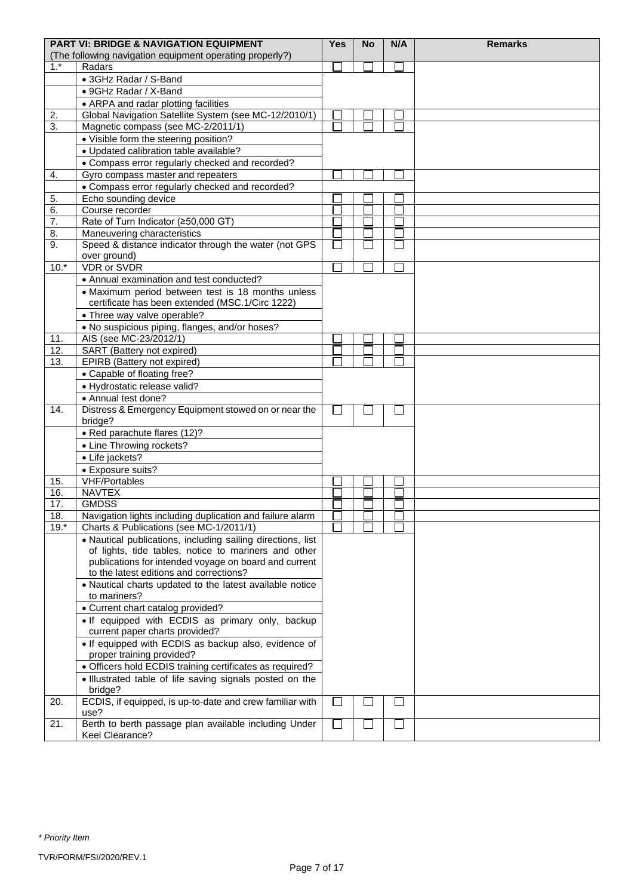|        | <b>PART VI: BRIDGE &amp; NAVIGATION EQUIPMENT</b><br>(The following navigation equipment operating properly?) | <b>Yes</b> | No | N/A          | <b>Remarks</b> |
|--------|---------------------------------------------------------------------------------------------------------------|------------|----|--------------|----------------|
| $1.*$  | Radars                                                                                                        |            |    |              |                |
|        | • 3GHz Radar / S-Band                                                                                         |            |    |              |                |
|        | • 9GHz Radar / X-Band                                                                                         |            |    |              |                |
|        | • ARPA and radar plotting facilities                                                                          |            |    |              |                |
| 2.     | Global Navigation Satellite System (see MC-12/2010/1)                                                         |            |    |              |                |
| 3.     | Magnetic compass (see MC-2/2011/1)                                                                            |            |    |              |                |
|        | • Visible form the steering position?                                                                         |            |    |              |                |
|        | · Updated calibration table available?                                                                        |            |    |              |                |
|        | • Compass error regularly checked and recorded?                                                               |            |    |              |                |
| 4.     | Gyro compass master and repeaters                                                                             |            |    |              |                |
|        | • Compass error regularly checked and recorded?                                                               |            |    |              |                |
| 5.     | Echo sounding device                                                                                          |            |    |              |                |
| 6.     | Course recorder                                                                                               |            |    |              |                |
| 7.     | Rate of Turn Indicator (≥50,000 GT)                                                                           |            |    |              |                |
| 8.     | Maneuvering characteristics                                                                                   |            |    |              |                |
| 9.     | Speed & distance indicator through the water (not GPS                                                         |            |    |              |                |
|        | over ground)                                                                                                  |            |    |              |                |
| $10.*$ | <b>VDR</b> or SVDR                                                                                            |            |    |              |                |
|        | • Annual examination and test conducted?                                                                      |            |    |              |                |
|        | • Maximum period between test is 18 months unless                                                             |            |    |              |                |
|        | certificate has been extended (MSC.1/Circ 1222)                                                               |            |    |              |                |
|        | • Three way valve operable?                                                                                   |            |    |              |                |
|        | . No suspicious piping, flanges, and/or hoses?                                                                |            |    |              |                |
| 11.    | AIS (see MC-23/2012/1)                                                                                        |            |    |              |                |
| 12.    | SART (Battery not expired)                                                                                    |            |    |              |                |
| 13.    | EPIRB (Battery not expired)                                                                                   |            |    |              |                |
|        | • Capable of floating free?                                                                                   |            |    |              |                |
|        | · Hydrostatic release valid?                                                                                  |            |    |              |                |
|        | • Annual test done?                                                                                           |            |    |              |                |
| 14.    | Distress & Emergency Equipment stowed on or near the                                                          | $\sim$     |    | $\mathsf{L}$ |                |
|        | bridge?                                                                                                       |            |    |              |                |
|        | • Red parachute flares (12)?                                                                                  |            |    |              |                |
|        | • Line Throwing rockets?                                                                                      |            |    |              |                |
|        | • Life jackets?                                                                                               |            |    |              |                |
|        | • Exposure suits?                                                                                             |            |    |              |                |
| 15.    | <b>VHF/Portables</b>                                                                                          |            |    |              |                |
| 16.    | <b>NAVTEX</b>                                                                                                 |            |    |              |                |
| 17.    | <b>GMDSS</b>                                                                                                  |            |    |              |                |
| 18.    | Navigation lights including duplication and failure alarm                                                     |            |    |              |                |
| $19.*$ | Charts & Publications (see MC-1/2011/1)                                                                       |            |    |              |                |
|        | · Nautical publications, including sailing directions, list                                                   |            |    |              |                |
|        | of lights, tide tables, notice to mariners and other                                                          |            |    |              |                |
|        | publications for intended voyage on board and current                                                         |            |    |              |                |
|        | to the latest editions and corrections?                                                                       |            |    |              |                |
|        | • Nautical charts updated to the latest available notice<br>to mariners?                                      |            |    |              |                |
|        | • Current chart catalog provided?                                                                             |            |    |              |                |
|        | . If equipped with ECDIS as primary only, backup                                                              |            |    |              |                |
|        | current paper charts provided?                                                                                |            |    |              |                |
|        | . If equipped with ECDIS as backup also, evidence of                                                          |            |    |              |                |
|        | proper training provided?                                                                                     |            |    |              |                |
|        | • Officers hold ECDIS training certificates as required?                                                      |            |    |              |                |
|        | . Illustrated table of life saving signals posted on the                                                      |            |    |              |                |
|        | bridge?                                                                                                       |            |    |              |                |
| 20.    | ECDIS, if equipped, is up-to-date and crew familiar with                                                      | ×.         |    | $\Box$       |                |
|        | use?                                                                                                          |            |    |              |                |
| 21.    | Berth to berth passage plan available including Under                                                         | П          | I. | П            |                |
|        | Keel Clearance?                                                                                               |            |    |              |                |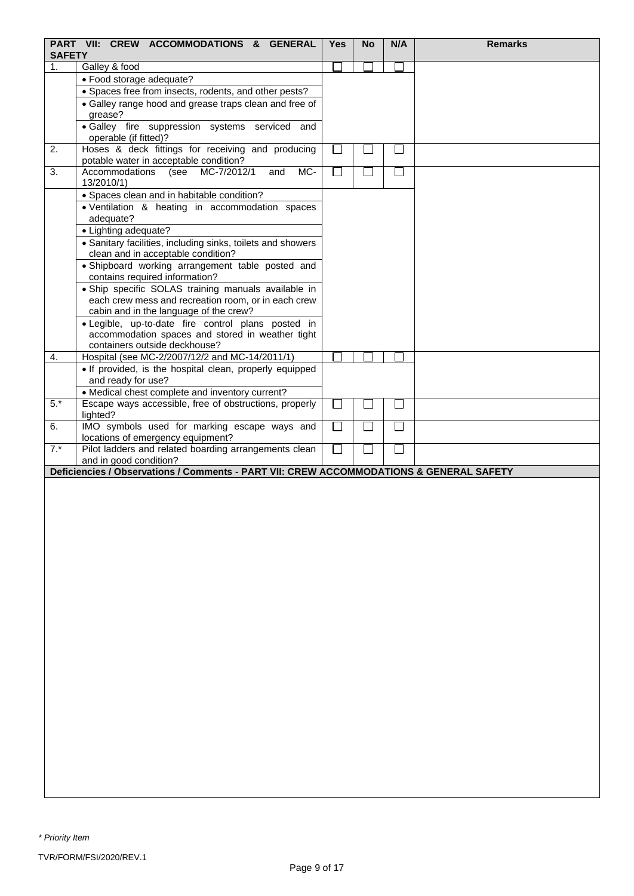|               | PART VII: CREW ACCOMMODATIONS & GENERAL                                                                | <b>Yes</b>    | <b>No</b>      | N/A          | <b>Remarks</b> |
|---------------|--------------------------------------------------------------------------------------------------------|---------------|----------------|--------------|----------------|
| <b>SAFETY</b> |                                                                                                        |               |                |              |                |
| 1.            | Galley & food                                                                                          |               |                |              |                |
|               | · Food storage adequate?                                                                               |               |                |              |                |
|               | • Spaces free from insects, rodents, and other pests?                                                  |               |                |              |                |
|               | • Galley range hood and grease traps clean and free of<br>grease?                                      |               |                |              |                |
|               | · Galley fire suppression systems serviced and                                                         |               |                |              |                |
|               | operable (if fitted)?                                                                                  |               |                |              |                |
| 2.            | Hoses & deck fittings for receiving and producing                                                      | $\sim$        |                |              |                |
|               | potable water in acceptable condition?                                                                 |               |                |              |                |
| 3.            | Accommodations<br>MC-7/2012/1<br>and<br>MC-<br>(see                                                    | $\mathcal{A}$ | $\mathbb{R}^n$ | L            |                |
|               | 13/2010/1)                                                                                             |               |                |              |                |
|               | • Spaces clean and in habitable condition?                                                             |               |                |              |                |
|               | · Ventilation & heating in accommodation spaces                                                        |               |                |              |                |
|               | adequate?                                                                                              |               |                |              |                |
|               | • Lighting adequate?                                                                                   |               |                |              |                |
|               | • Sanitary facilities, including sinks, toilets and showers                                            |               |                |              |                |
|               | clean and in acceptable condition?                                                                     |               |                |              |                |
|               | · Shipboard working arrangement table posted and                                                       |               |                |              |                |
|               | contains required information?                                                                         |               |                |              |                |
|               | · Ship specific SOLAS training manuals available in                                                    |               |                |              |                |
|               | each crew mess and recreation room, or in each crew                                                    |               |                |              |                |
|               | cabin and in the language of the crew?                                                                 |               |                |              |                |
|               | · Legible, up-to-date fire control plans posted in<br>accommodation spaces and stored in weather tight |               |                |              |                |
|               | containers outside deckhouse?                                                                          |               |                |              |                |
| 4.            | Hospital (see MC-2/2007/12/2 and MC-14/2011/1)                                                         |               |                |              |                |
|               | . If provided, is the hospital clean, properly equipped                                                |               |                |              |                |
|               | and ready for use?                                                                                     |               |                |              |                |
|               | • Medical chest complete and inventory current?                                                        |               |                |              |                |
| $5.*$         | Escape ways accessible, free of obstructions, properly                                                 | П             | $\mathbb{R}^n$ | $\Box$       |                |
|               | lighted?                                                                                               |               |                |              |                |
| 6.            | IMO symbols used for marking escape ways and                                                           | $\Box$        | П              | $\mathsf{L}$ |                |
|               | locations of emergency equipment?                                                                      |               |                |              |                |
| $7.*$         | Pilot ladders and related boarding arrangements clean                                                  |               |                |              |                |
|               | and in good condition?                                                                                 |               |                |              |                |
|               | Deficiencies / Observations / Comments - PART VII: CREW ACCOMMODATIONS & GENERAL SAFETY                |               |                |              |                |
|               |                                                                                                        |               |                |              |                |
|               |                                                                                                        |               |                |              |                |
|               |                                                                                                        |               |                |              |                |
|               |                                                                                                        |               |                |              |                |
|               |                                                                                                        |               |                |              |                |
|               |                                                                                                        |               |                |              |                |
|               |                                                                                                        |               |                |              |                |
|               |                                                                                                        |               |                |              |                |
|               |                                                                                                        |               |                |              |                |
|               |                                                                                                        |               |                |              |                |
|               |                                                                                                        |               |                |              |                |
|               |                                                                                                        |               |                |              |                |
|               |                                                                                                        |               |                |              |                |
|               |                                                                                                        |               |                |              |                |
|               |                                                                                                        |               |                |              |                |
|               |                                                                                                        |               |                |              |                |
|               |                                                                                                        |               |                |              |                |
|               |                                                                                                        |               |                |              |                |
|               |                                                                                                        |               |                |              |                |
|               |                                                                                                        |               |                |              |                |
|               |                                                                                                        |               |                |              |                |
|               |                                                                                                        |               |                |              |                |
|               |                                                                                                        |               |                |              |                |
|               |                                                                                                        |               |                |              |                |
|               |                                                                                                        |               |                |              |                |
|               |                                                                                                        |               |                |              |                |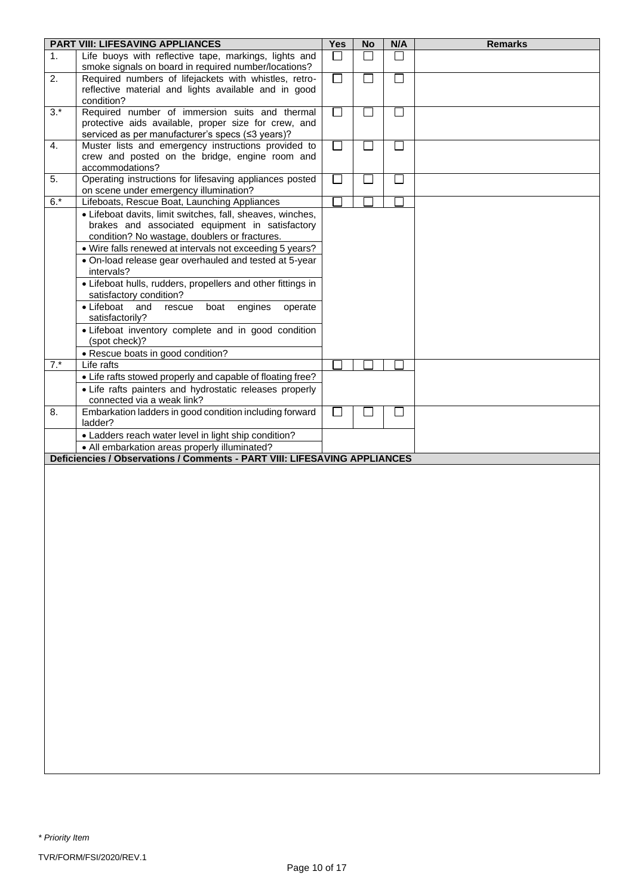|       | <b>PART VIII: LIFESAVING APPLIANCES</b>                                                                                    | <b>Yes</b> | <b>No</b>                | N/A           | <b>Remarks</b> |
|-------|----------------------------------------------------------------------------------------------------------------------------|------------|--------------------------|---------------|----------------|
| 1.    | Life buoys with reflective tape, markings, lights and                                                                      |            |                          |               |                |
|       | smoke signals on board in required number/locations?                                                                       |            |                          |               |                |
| 2.    | Required numbers of lifejackets with whistles, retro-                                                                      | $\Box$     | $\mathbb{R}^n$           | H.            |                |
|       | reflective material and lights available and in good                                                                       |            |                          |               |                |
| $3.*$ | condition?<br>Required number of immersion suits and thermal                                                               | $\Box$     | $\Box$                   | $\Box$        |                |
|       | protective aids available, proper size for crew, and                                                                       |            |                          |               |                |
|       | serviced as per manufacturer's specs (≤3 years)?                                                                           |            |                          |               |                |
| 4.    | Muster lists and emergency instructions provided to                                                                        |            | $\sim$                   | $\mathcal{L}$ |                |
|       | crew and posted on the bridge, engine room and                                                                             |            |                          |               |                |
|       | accommodations?                                                                                                            |            |                          |               |                |
| 5.    | Operating instructions for lifesaving appliances posted<br>on scene under emergency illumination?                          | $\sim$     |                          | $\mathbf{I}$  |                |
| $6.*$ | Lifeboats, Rescue Boat, Launching Appliances                                                                               |            |                          |               |                |
|       | • Lifeboat davits, limit switches, fall, sheaves, winches,                                                                 |            |                          |               |                |
|       | brakes and associated equipment in satisfactory                                                                            |            |                          |               |                |
|       | condition? No wastage, doublers or fractures.                                                                              |            |                          |               |                |
|       | • Wire falls renewed at intervals not exceeding 5 years?                                                                   |            |                          |               |                |
|       | • On-load release gear overhauled and tested at 5-year                                                                     |            |                          |               |                |
|       | intervals?                                                                                                                 |            |                          |               |                |
|       | • Lifeboat hulls, rudders, propellers and other fittings in<br>satisfactory condition?                                     |            |                          |               |                |
|       | • Lifeboat<br>and<br>engines<br>rescue<br>boat<br>operate                                                                  |            |                          |               |                |
|       | satisfactorily?                                                                                                            |            |                          |               |                |
|       | · Lifeboat inventory complete and in good condition                                                                        |            |                          |               |                |
|       | (spot check)?                                                                                                              |            |                          |               |                |
|       | • Rescue boats in good condition?<br>Life rafts                                                                            |            |                          |               |                |
| $7.*$ | • Life rafts stowed properly and capable of floating free?                                                                 |            |                          |               |                |
|       | • Life rafts painters and hydrostatic releases properly                                                                    |            |                          |               |                |
|       | connected via a weak link?                                                                                                 |            |                          |               |                |
| 8.    | Embarkation ladders in good condition including forward                                                                    |            | $\overline{\phantom{a}}$ | $\mathbf{I}$  |                |
|       | ladder?                                                                                                                    |            |                          |               |                |
|       | • Ladders reach water level in light ship condition?                                                                       |            |                          |               |                |
|       | • All embarkation areas properly illuminated?<br>Deficiencies / Observations / Comments - PART VIII: LIFESAVING APPLIANCES |            |                          |               |                |
|       |                                                                                                                            |            |                          |               |                |
|       |                                                                                                                            |            |                          |               |                |
|       |                                                                                                                            |            |                          |               |                |
|       |                                                                                                                            |            |                          |               |                |
|       |                                                                                                                            |            |                          |               |                |
|       |                                                                                                                            |            |                          |               |                |
|       |                                                                                                                            |            |                          |               |                |
|       |                                                                                                                            |            |                          |               |                |
|       |                                                                                                                            |            |                          |               |                |
|       |                                                                                                                            |            |                          |               |                |
|       |                                                                                                                            |            |                          |               |                |
|       |                                                                                                                            |            |                          |               |                |
|       |                                                                                                                            |            |                          |               |                |
|       |                                                                                                                            |            |                          |               |                |
|       |                                                                                                                            |            |                          |               |                |
|       |                                                                                                                            |            |                          |               |                |
|       |                                                                                                                            |            |                          |               |                |
|       |                                                                                                                            |            |                          |               |                |
|       |                                                                                                                            |            |                          |               |                |
|       |                                                                                                                            |            |                          |               |                |
|       |                                                                                                                            |            |                          |               |                |
|       |                                                                                                                            |            |                          |               |                |
|       |                                                                                                                            |            |                          |               |                |
|       |                                                                                                                            |            |                          |               |                |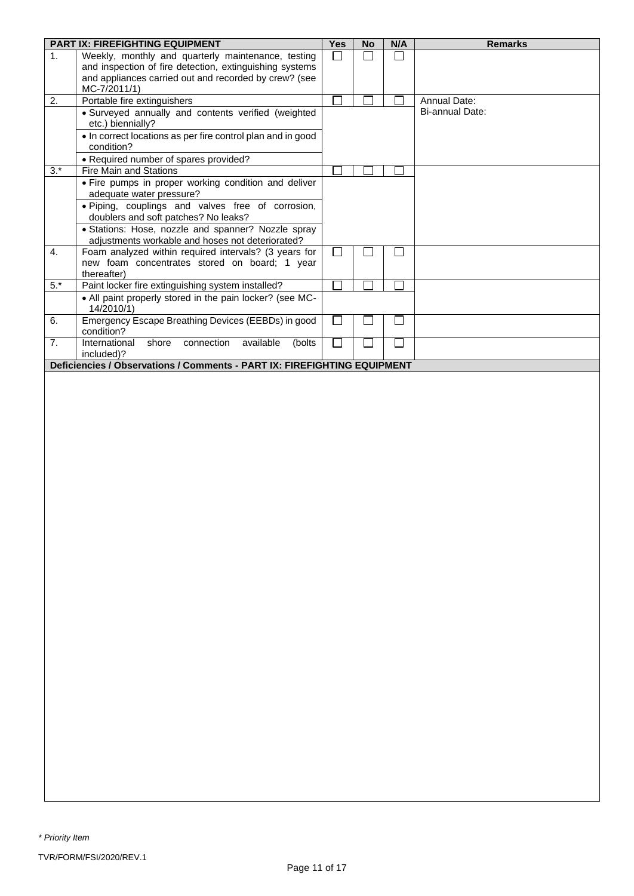|                | <b>PART IX: FIREFIGHTING EQUIPMENT</b>                                   | Yes | <b>No</b> | N/A           | <b>Remarks</b>      |
|----------------|--------------------------------------------------------------------------|-----|-----------|---------------|---------------------|
| 1 <sub>1</sub> | Weekly, monthly and quarterly maintenance, testing                       | □   | $\Box$    | П             |                     |
|                | and inspection of fire detection, extinguishing systems                  |     |           |               |                     |
|                | and appliances carried out and recorded by crew? (see                    |     |           |               |                     |
|                | MC-7/2011/1)                                                             |     |           |               |                     |
| 2.             | Portable fire extinguishers                                              |     |           |               | <b>Annual Date:</b> |
|                | · Surveyed annually and contents verified (weighted                      |     |           |               | Bi-annual Date:     |
|                | etc.) biennially?                                                        |     |           |               |                     |
|                | • In correct locations as per fire control plan and in good              |     |           |               |                     |
|                | condition?                                                               |     |           |               |                     |
|                | • Required number of spares provided?                                    |     |           |               |                     |
| $3.*$          | Fire Main and Stations                                                   |     |           |               |                     |
|                | . Fire pumps in proper working condition and deliver                     |     |           |               |                     |
|                | adequate water pressure?                                                 |     |           |               |                     |
|                | · Piping, couplings and valves free of corrosion,                        |     |           |               |                     |
|                | doublers and soft patches? No leaks?                                     |     |           |               |                     |
|                | · Stations: Hose, nozzle and spanner? Nozzle spray                       |     |           |               |                     |
|                | adjustments workable and hoses not deteriorated?                         |     |           |               |                     |
| 4.             | Foam analyzed within required intervals? (3 years for                    | П   |           | $\mathcal{L}$ |                     |
|                | new foam concentrates stored on board; 1 year                            |     |           |               |                     |
|                | thereafter)                                                              |     |           |               |                     |
| $5.*$          | Paint locker fire extinguishing system installed?                        |     |           |               |                     |
|                | • All paint properly stored in the pain locker? (see MC-                 |     |           |               |                     |
|                | 14/2010/1)                                                               |     |           |               |                     |
| 6.             | Emergency Escape Breathing Devices (EEBDs) in good                       | J.  |           | T.            |                     |
|                | condition?                                                               |     |           |               |                     |
| 7.             | International<br>shore<br>connection<br>available<br>(bolts)             | ٦   |           | П             |                     |
|                | included)?                                                               |     |           |               |                     |
|                | Deficiencies / Observations / Comments - PART IX: FIREFIGHTING EQUIPMENT |     |           |               |                     |
|                |                                                                          |     |           |               |                     |
|                |                                                                          |     |           |               |                     |
|                |                                                                          |     |           |               |                     |
|                |                                                                          |     |           |               |                     |
|                |                                                                          |     |           |               |                     |
|                |                                                                          |     |           |               |                     |
|                |                                                                          |     |           |               |                     |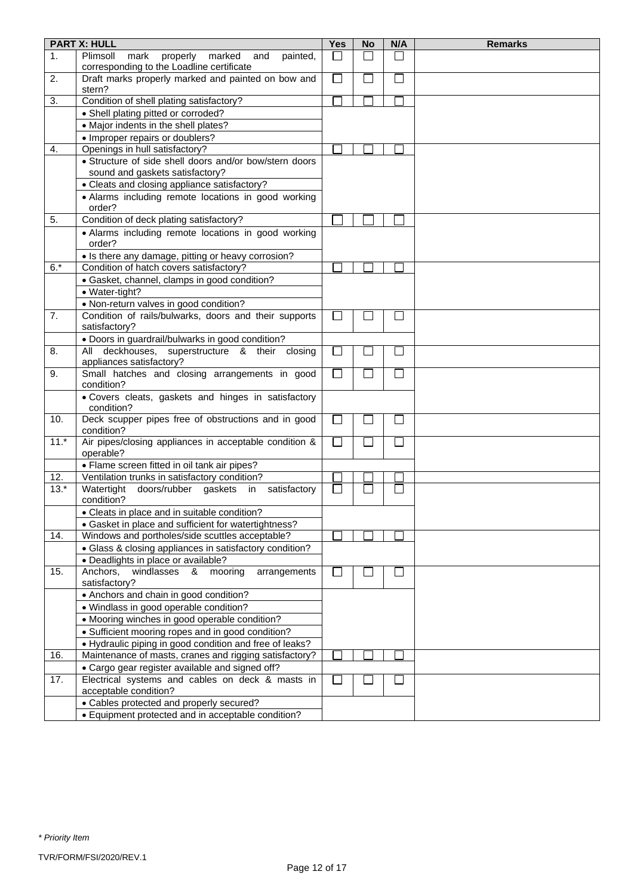|                | <b>PART X: HULL</b>                                                                             | Yes                      | <b>No</b>    | N/A                         | <b>Remarks</b> |
|----------------|-------------------------------------------------------------------------------------------------|--------------------------|--------------|-----------------------------|----------------|
| $\mathbf{1}$ . | Plimsoll<br>mark<br>properly<br>painted,<br>marked<br>and                                       | $\overline{\phantom{a}}$ | $\mathsf{L}$ | $\mathbf{L}$                |                |
| 2.             | corresponding to the Loadline certificate<br>Draft marks properly marked and painted on bow and | $\Box$                   | h.           | $\Box$                      |                |
|                | stern?                                                                                          |                          |              |                             |                |
| 3.             | Condition of shell plating satisfactory?                                                        |                          |              |                             |                |
|                | • Shell plating pitted or corroded?                                                             |                          |              |                             |                |
|                | • Major indents in the shell plates?                                                            |                          |              |                             |                |
|                | • Improper repairs or doublers?                                                                 |                          |              |                             |                |
| 4.             | Openings in hull satisfactory?                                                                  |                          |              |                             |                |
|                | • Structure of side shell doors and/or bow/stern doors                                          |                          |              |                             |                |
|                | sound and gaskets satisfactory?                                                                 |                          |              |                             |                |
|                | • Cleats and closing appliance satisfactory?                                                    |                          |              |                             |                |
|                | • Alarms including remote locations in good working<br>order?                                   |                          |              |                             |                |
| 5.             | Condition of deck plating satisfactory?                                                         |                          |              |                             |                |
|                | • Alarms including remote locations in good working<br>order?                                   |                          |              |                             |                |
|                | • Is there any damage, pitting or heavy corrosion?                                              |                          |              |                             |                |
| $6.*$          | Condition of hatch covers satisfactory?                                                         |                          |              |                             |                |
|                | · Gasket, channel, clamps in good condition?                                                    |                          |              |                             |                |
|                | · Water-tight?                                                                                  |                          |              |                             |                |
|                | • Non-return valves in good condition?                                                          |                          |              |                             |                |
| 7.             | Condition of rails/bulwarks, doors and their supports<br>satisfactory?                          | $\sim$                   |              |                             |                |
|                | • Doors in guardrail/bulwarks in good condition?                                                |                          |              |                             |                |
| 8.             | All deckhouses, superstructure & their closing<br>appliances satisfactory?                      | $\sim$                   |              | $\mathcal{L}_{\mathcal{A}}$ |                |
| 9.             | Small hatches and closing arrangements in good<br>condition?                                    | $\Box$                   |              |                             |                |
|                | . Covers cleats, gaskets and hinges in satisfactory<br>condition?                               |                          |              |                             |                |
| 10.            | Deck scupper pipes free of obstructions and in good<br>condition?                               | $\Box$                   | $\sim$       | $\Box$                      |                |
| $11.*$         | Air pipes/closing appliances in acceptable condition &<br>operable?                             | $\Box$                   |              | $\Box$                      |                |
|                | • Flame screen fitted in oil tank air pipes?                                                    |                          |              |                             |                |
| 12.            | Ventilation trunks in satisfactory condition?                                                   |                          |              |                             |                |
| $13.*$         | doors/rubber gaskets<br>Watertight<br>in<br>satisfactory<br>condition?                          |                          |              |                             |                |
|                | • Cleats in place and in suitable condition?                                                    |                          |              |                             |                |
|                | • Gasket in place and sufficient for watertightness?                                            |                          |              |                             |                |
| 14.            | Windows and portholes/side scuttles acceptable?                                                 |                          |              |                             |                |
|                | • Glass & closing appliances in satisfactory condition?                                         |                          |              |                             |                |
|                | • Deadlights in place or available?                                                             |                          |              |                             |                |
| 15.            | mooring<br>Anchors,<br>windlasses<br>arrangements<br>&<br>satisfactory?                         | $\sim$                   |              |                             |                |
|                | • Anchors and chain in good condition?                                                          |                          |              |                             |                |
|                | • Windlass in good operable condition?                                                          |                          |              |                             |                |
|                | • Mooring winches in good operable condition?                                                   |                          |              |                             |                |
|                | • Sufficient mooring ropes and in good condition?                                               |                          |              |                             |                |
|                | • Hydraulic piping in good condition and free of leaks?                                         |                          |              |                             |                |
| 16.            | Maintenance of masts, cranes and rigging satisfactory?                                          |                          |              |                             |                |
|                | • Cargo gear register available and signed off?                                                 |                          |              |                             |                |
| 17.            | Electrical systems and cables on deck & masts in<br>acceptable condition?                       |                          |              |                             |                |
|                | • Cables protected and properly secured?                                                        |                          |              |                             |                |
|                | • Equipment protected and in acceptable condition?                                              |                          |              |                             |                |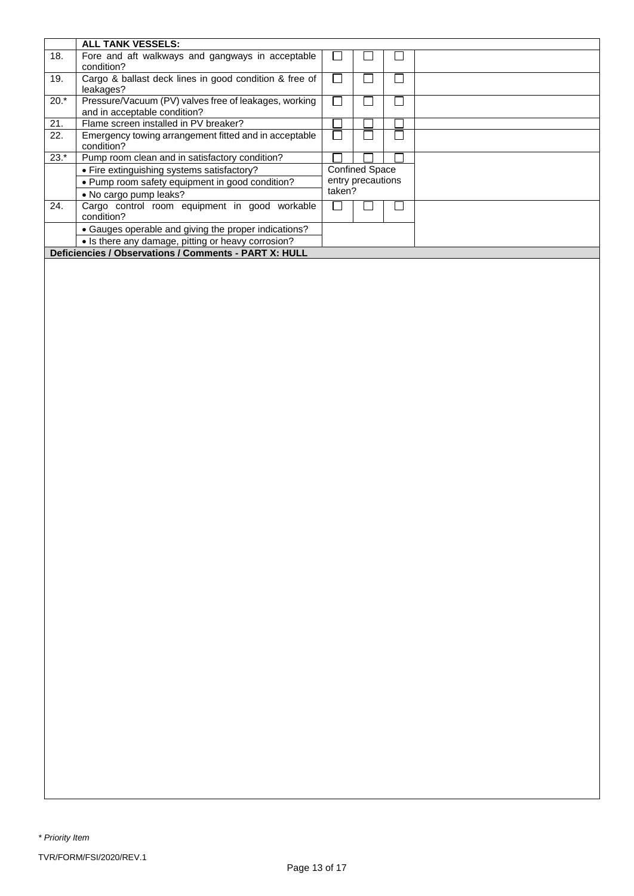|        | <b>ALL TANK VESSELS:</b>                                                              |        |                       |  |  |  |  |  |
|--------|---------------------------------------------------------------------------------------|--------|-----------------------|--|--|--|--|--|
| 18.    | Fore and aft walkways and gangways in acceptable<br>condition?                        |        |                       |  |  |  |  |  |
| 19.    | Cargo & ballast deck lines in good condition & free of<br>leakages?                   |        |                       |  |  |  |  |  |
| $20.*$ | Pressure/Vacuum (PV) valves free of leakages, working<br>and in acceptable condition? |        |                       |  |  |  |  |  |
| 21.    | Flame screen installed in PV breaker?                                                 |        |                       |  |  |  |  |  |
| 22.    | Emergency towing arrangement fitted and in acceptable<br>condition?                   |        |                       |  |  |  |  |  |
| $23.*$ | Pump room clean and in satisfactory condition?                                        |        |                       |  |  |  |  |  |
|        | • Fire extinguishing systems satisfactory?                                            |        | <b>Confined Space</b> |  |  |  |  |  |
|        | . Pump room safety equipment in good condition?                                       |        | entry precautions     |  |  |  |  |  |
|        | • No cargo pump leaks?                                                                | taken? |                       |  |  |  |  |  |
| 24.    | Cargo control room equipment in good workable<br>condition?                           |        |                       |  |  |  |  |  |
|        | • Gauges operable and giving the proper indications?                                  |        |                       |  |  |  |  |  |
|        | • Is there any damage, pitting or heavy corrosion?                                    |        |                       |  |  |  |  |  |
|        | Deficiencies / Observations / Comments - PART X: HULL                                 |        |                       |  |  |  |  |  |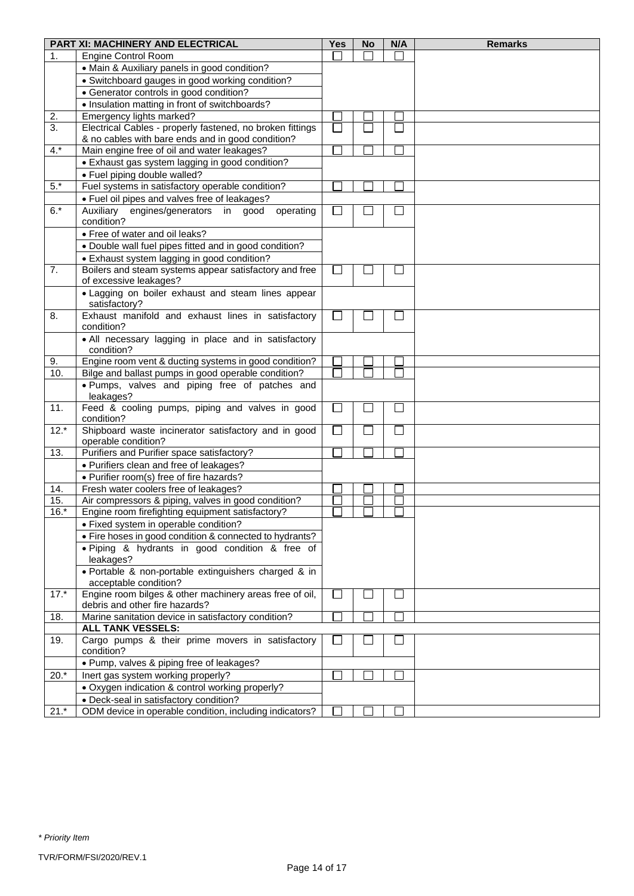|           | PART XI: MACHINERY AND ELECTRICAL                                                                     | Yes    | <b>No</b> | N/A                         | <b>Remarks</b> |
|-----------|-------------------------------------------------------------------------------------------------------|--------|-----------|-----------------------------|----------------|
| 1.        | <b>Engine Control Room</b>                                                                            |        |           |                             |                |
|           | • Main & Auxiliary panels in good condition?                                                          |        |           |                             |                |
|           | • Switchboard gauges in good working condition?                                                       |        |           |                             |                |
|           | • Generator controls in good condition?                                                               |        |           |                             |                |
|           | • Insulation matting in front of switchboards?                                                        |        |           |                             |                |
| 2.        | Emergency lights marked?                                                                              |        |           |                             |                |
| 3.        | Electrical Cables - properly fastened, no broken fittings                                             | $\Box$ |           |                             |                |
|           | & no cables with bare ends and in good condition?                                                     |        |           |                             |                |
| $4.*$     | Main engine free of oil and water leakages?                                                           |        |           |                             |                |
|           | • Exhaust gas system lagging in good condition?                                                       |        |           |                             |                |
|           | • Fuel piping double walled?                                                                          |        |           |                             |                |
| $5.*$     | Fuel systems in satisfactory operable condition?                                                      |        |           |                             |                |
|           | • Fuel oil pipes and valves free of leakages?                                                         |        |           |                             |                |
| $6.*$     | Auxiliary engines/generators<br>in<br>good<br>operating                                               | $\Box$ |           |                             |                |
|           | condition?                                                                                            |        |           |                             |                |
|           | • Free of water and oil leaks?                                                                        |        |           |                             |                |
|           | • Double wall fuel pipes fitted and in good condition?                                                |        |           |                             |                |
|           | • Exhaust system lagging in good condition?                                                           |        |           |                             |                |
| 7.        | Boilers and steam systems appear satisfactory and free                                                | $\Box$ |           |                             |                |
|           | of excessive leakages?                                                                                |        |           |                             |                |
|           | · Lagging on boiler exhaust and steam lines appear                                                    |        |           |                             |                |
|           | satisfactory?                                                                                         |        |           |                             |                |
| 8.        | Exhaust manifold and exhaust lines in satisfactory                                                    | $\Box$ |           | $\Box$                      |                |
|           | condition?                                                                                            |        |           |                             |                |
|           | • All necessary lagging in place and in satisfactory                                                  |        |           |                             |                |
|           | condition?                                                                                            |        |           |                             |                |
| 9.<br>10. | Engine room vent & ducting systems in good condition?                                                 | □      |           |                             |                |
|           | Bilge and ballast pumps in good operable condition?<br>. Pumps, valves and piping free of patches and |        |           |                             |                |
|           | leakages?                                                                                             |        |           |                             |                |
| 11.       | Feed & cooling pumps, piping and valves in good                                                       | $\Box$ |           |                             |                |
|           | condition?                                                                                            |        |           |                             |                |
| $12.*$    | Shipboard waste incinerator satisfactory and in good                                                  | $\Box$ |           | $\mathcal{L}_{\mathcal{A}}$ |                |
|           | operable condition?                                                                                   |        |           |                             |                |
| 13.       | Purifiers and Purifier space satisfactory?                                                            | Ξ      |           |                             |                |
|           | • Purifiers clean and free of leakages?                                                               |        |           |                             |                |
|           | • Purifier room(s) free of fire hazards?                                                              |        |           |                             |                |
| 14.       | Fresh water coolers free of leakages?                                                                 |        |           |                             |                |
| 15.       | Air compressors & piping, valves in good condition?                                                   |        |           |                             |                |
| $16.*$    | Engine room firefighting equipment satisfactory?                                                      |        |           |                             |                |
|           | • Fixed system in operable condition?                                                                 |        |           |                             |                |
|           | • Fire hoses in good condition & connected to hydrants?                                               |        |           |                             |                |
|           | . Piping & hydrants in good condition & free of                                                       |        |           |                             |                |
|           | leakages?                                                                                             |        |           |                             |                |
|           | · Portable & non-portable extinguishers charged & in                                                  |        |           |                             |                |
| $17.*$    | acceptable condition?                                                                                 |        |           |                             |                |
|           | Engine room bilges & other machinery areas free of oil,<br>debris and other fire hazards?             | $\Box$ |           | $\mathcal{L}_{\mathcal{A}}$ |                |
| 18.       | Marine sanitation device in satisfactory condition?                                                   |        |           |                             |                |
|           | <b>ALL TANK VESSELS:</b>                                                                              |        |           |                             |                |
| 19.       | Cargo pumps & their prime movers in satisfactory                                                      | I.     |           |                             |                |
|           | condition?                                                                                            |        |           |                             |                |
|           | • Pump, valves & piping free of leakages?                                                             |        |           |                             |                |
| $20.*$    | Inert gas system working properly?                                                                    |        |           |                             |                |
|           | • Oxygen indication & control working properly?                                                       |        |           |                             |                |
|           | • Deck-seal in satisfactory condition?                                                                |        |           |                             |                |
| $21.*$    | ODM device in operable condition, including indicators?                                               |        |           |                             |                |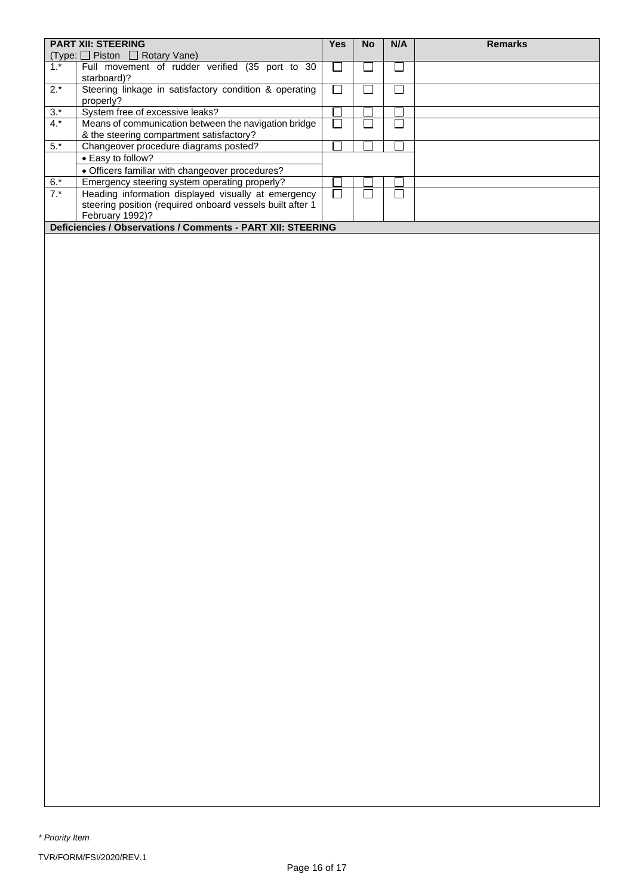| $(Type: \Box$ Piston $\Box$ Rotary Vane)                                                                                                     |  |  |  |  |
|----------------------------------------------------------------------------------------------------------------------------------------------|--|--|--|--|
|                                                                                                                                              |  |  |  |  |
| $1.*$<br>Full movement of rudder verified (35 port to 30<br>starboard)?                                                                      |  |  |  |  |
| $2.*$<br>Steering linkage in satisfactory condition & operating<br>properly?                                                                 |  |  |  |  |
| $3.*$<br>System free of excessive leaks?                                                                                                     |  |  |  |  |
| $4.*$<br>Means of communication between the navigation bridge<br>& the steering compartment satisfactory?                                    |  |  |  |  |
| $5.*$<br>Changeover procedure diagrams posted?                                                                                               |  |  |  |  |
| • Easy to follow?                                                                                                                            |  |  |  |  |
| • Officers familiar with changeover procedures?                                                                                              |  |  |  |  |
| $6.*$<br>Emergency steering system operating properly?                                                                                       |  |  |  |  |
| $7.*$<br>Heading information displayed visually at emergency<br>steering position (required onboard vessels built after 1<br>February 1992)? |  |  |  |  |
| Deficiencies / Observations / Comments - PART XII: STEERING                                                                                  |  |  |  |  |